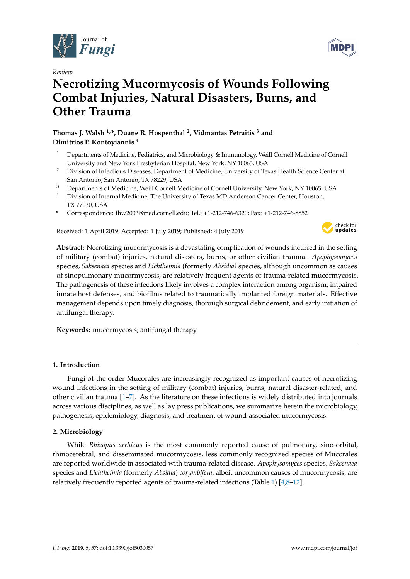

*Review*

# **Necrotizing Mucormycosis of Wounds Following Combat Injuries, Natural Disasters, Burns, and Other Trauma**

# **Thomas J. Walsh 1,\*, Duane R. Hospenthal <sup>2</sup> , Vidmantas Petraitis <sup>3</sup> and Dimitrios P. Kontoyiannis <sup>4</sup>**

- <sup>1</sup> Departments of Medicine, Pediatrics, and Microbiology & Immunology, Weill Cornell Medicine of Cornell University and New York Presbyterian Hospital, New York, NY 10065, USA
- <sup>2</sup> Division of Infectious Diseases, Department of Medicine, University of Texas Health Science Center at San Antonio, San Antonio, TX 78229, USA
- <sup>3</sup> Departments of Medicine, Weill Cornell Medicine of Cornell University, New York, NY 10065, USA
- <sup>4</sup> Division of Internal Medicine, The University of Texas MD Anderson Cancer Center, Houston, TX 77030, USA
- **\*** Correspondence: thw2003@med.cornell.edu; Tel.: +1-212-746-6320; Fax: +1-212-746-8852

Received: 1 April 2019; Accepted: 1 July 2019; Published: 4 July 2019



**Abstract:** Necrotizing mucormycosis is a devastating complication of wounds incurred in the setting of military (combat) injuries, natural disasters, burns, or other civilian trauma. *Apophysomyces* species, *Saksenaea* species and *Lichtheimia* (formerly *Absidia)* species, although uncommon as causes of sinopulmonary mucormycosis, are relatively frequent agents of trauma-related mucormycosis. The pathogenesis of these infections likely involves a complex interaction among organism, impaired innate host defenses, and biofilms related to traumatically implanted foreign materials. Effective management depends upon timely diagnosis, thorough surgical debridement, and early initiation of antifungal therapy.

**Keywords:** mucormycosis; antifungal therapy

## **1. Introduction**

Fungi of the order Mucorales are increasingly recognized as important causes of necrotizing wound infections in the setting of military (combat) injuries, burns, natural disaster-related, and other civilian trauma  $[1–7]$  $[1–7]$ . As the literature on these infections is widely distributed into journals across various disciplines, as well as lay press publications, we summarize herein the microbiology, pathogenesis, epidemiology, diagnosis, and treatment of wound-associated mucormycosis.

## **2. Microbiology**

While *Rhizopus arrhizus* is the most commonly reported cause of pulmonary, sino-orbital, rhinocerebral, and disseminated mucormycosis, less commonly recognized species of Mucorales are reported worldwide in associated with trauma-related disease. *Apophysomyces* species, *Saksenaea* species and *Lichtheimia* (formerly *Absidia*) *corymbifera*, albeit uncommon causes of mucormycosis, are relatively frequently reported agents of trauma-related infections (Table [1\)](#page-1-0) [\[4,](#page-8-2)[8–](#page-8-3)[12\]](#page-8-4).

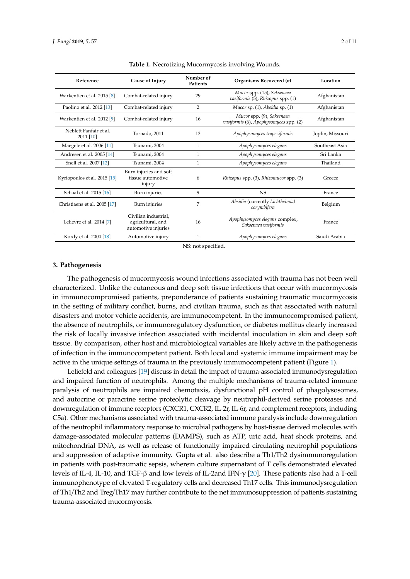<span id="page-1-0"></span>

| Reference                           | Cause of Injury                                                  | Number of<br><b>Patients</b> | Organisms Recovered (n)                                             | Location         |
|-------------------------------------|------------------------------------------------------------------|------------------------------|---------------------------------------------------------------------|------------------|
| Warkentien et al. 2015 [8]          | Combat-related injury                                            | 29                           | Mucor spp. (15), Saksenaea<br>vasiformis (5), Rhizopus spp. (1)     | Afghanistan      |
| Paolino et al. 2012 [13]            | Combat-related injury                                            | 2                            | Mucor sp. (1), Absidia sp. (1)                                      | Afghanistan      |
| Warkentien et al. 2012 [9]          | Combat-related injury                                            | 16                           | Mucor spp. (9), Saksenaea<br>vasiformis (6), Apophysomyces spp. (2) | Afghanistan      |
| Neblett Fanfair et al.<br>2011 [10] | Tornado, 2011                                                    | 13                           | Apophysomyces trapeziformis                                         | Joplin, Missouri |
| Maegele et al. 2006 [11]            | Tsunami, 2004                                                    | 1                            | Apophysomyces elegans                                               | Southeast Asia   |
| Andresen et al. 2005 [14]           | Tsunami, 2004                                                    | 1                            | Apophysomyces elegans                                               | Sri Lanka        |
| Snell et al. 2007 [12]              | Tsunami, 2004                                                    | $\mathbf{1}$                 | Apophysomyces elegans                                               | Thailand         |
| Kyriopoulos et al. 2015 [15]        | Burn injuries and soft<br>tissue automotive<br>injury            | 6                            | Rhizopus spp. (3), Rhizomucor spp. (3)                              | Greece           |
| Schaal et al. 2015 [16]             | Burn injuries                                                    | 9                            | N <sub>S</sub>                                                      | France           |
| Christiaens et al. 2005 [17]        | Burn injuries                                                    | 7                            | Absidia (currently Lichtheimia)<br>corymbifera                      | Belgium          |
| Lelievre et al. 2014 [7]            | Civilian industrial.<br>agricultural, and<br>automotive injuries | 16                           | Apophysomyces elegans complex,<br>Saksenaea vasiformis              | France           |
| Kordy et al. 2004 [18]              | Automotive injury                                                | 1                            | Apophysomyces elegans                                               | Saudi Arabia     |

**Table 1.** Necrotizing Mucormycosis involving Wounds.

NS: not specified.

#### **3. Pathogenesis**

The pathogenesis of mucormycosis wound infections associated with trauma has not been well characterized. Unlike the cutaneous and deep soft tissue infections that occur with mucormycosis in immunocompromised patients, preponderance of patients sustaining traumatic mucormycosis in the setting of military conflict, burns, and civilian trauma, such as that associated with natural disasters and motor vehicle accidents, are immunocompetent. In the immunocompromised patient, the absence of neutrophils, or immunoregulatory dysfunction, or diabetes mellitus clearly increased the risk of locally invasive infection associated with incidental inoculation in skin and deep soft tissue. By comparison, other host and microbiological variables are likely active in the pathogenesis of infection in the immunocompetent patient. Both local and systemic immune impairment may be active in the unique settings of trauma in the previously immunocompetent patient (Figure [1\)](#page-2-0).

Leliefeld and colleagues [\[19\]](#page-8-14) discuss in detail the impact of trauma-associated immunodysregulation and impaired function of neutrophils. Among the multiple mechanisms of trauma-related immune paralysis of neutrophils are impaired chemotaxis, dysfunctional pH control of phagolysosomes, and autocrine or paracrine serine proteolytic cleavage by neutrophil-derived serine proteases and downregulation of immune receptors (CXCR1, CXCR2, IL-2r, IL-6r, and complement receptors, including C5a). Other mechanisms associated with trauma-associated immune paralysis include downregulation of the neutrophil inflammatory response to microbial pathogens by host-tissue derived molecules with damage-associated molecular patterns (DAMPS), such as ATP, uric acid, heat shock proteins, and mitochondrial DNA, as well as release of functionally impaired circulating neutrophil populations and suppression of adaptive immunity. Gupta et al. also describe a Th1/Th2 dysimmunoregulation in patients with post-traumatic sepsis, wherein culture supernatant of T cells demonstrated elevated levels of IL-4, IL-10, and TGF-β and low levels of IL-2and IFN-γ [\[20\]](#page-8-15). These patients also had a T-cell immunophenotype of elevated T-regulatory cells and decreased Th17 cells. This immunodysregulation of Th1/Th2 and Treg/Th17 may further contribute to the net immunosuppression of patients sustaining trauma-associated mucormycosis.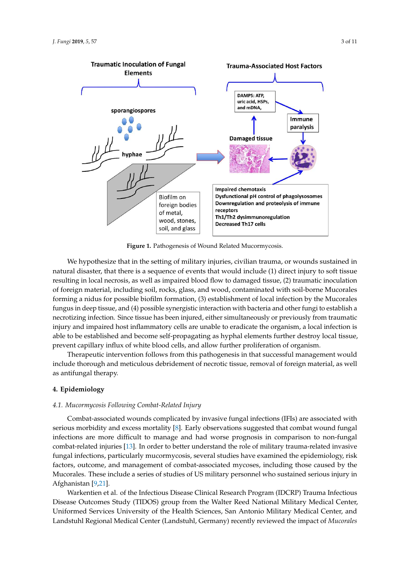<span id="page-2-0"></span>

**Figure 1.** Pathogenesis of Wound Related Mucormycosis.

natural disaster, that there is a sequence of events that would include (1) direct injury to soft tissue resulting in local necrosis, as well as impaired blood flow to damaged tissue, (2) traumatic inoculation of foreign material, including soil, rocks, glass, and wood, contaminated with soil-borne Mucorales forming a nidus for possible biofilm formation, (3) establishment of local infection by the Mucorales fungus in deep tissue, and (4) possible synergistic interaction with bacteria and other fungi to establish a necrotizing infection. Since tissue has been injured, either simultaneously or previously from traumatic injury and impaired host inflammatory cells are unable to eradicate the organism, a local infection is able to be established and become self-propagating as hyphal elements further destroy local tissue, prevent capillary influx of white blood cells, and allow further proliferation of organism. We hypothesize that in the setting of military injuries, civilian trauma, or wounds sustained in

Therapeutic intervention follows from this pathogenesis in that successful management would include thorough and meticulous debridement of necrotic tissue, removal of foreign material, as well as antifungal therapy. The IL-4, IL-10, IL-4, IL-10, and IL-10, and low levels of IL-10, and IL-10, and IL-10, and IL-10, and IL-10, and IL-10, and IL-10, and IL-10, and IL-10, and IL-10, and IL-10, and IL-10, and IL-10, a

# and decreased Th17 cells. This immunodysregulation of Th1/Th2 and Treg/Th17 may further **4. Epidemiology**

## contribute to the net immunosuppression of patients sustaining trauma-associated mucormycosis. *4.1. Mucormycosis Following Combat-Related Injury* where in years I cheating comean Treatment Injury

Combat-associated wounds complicated by invasive fungal infections (IFIs) are associated with serious morbidity and excess mortality [\[8\]](#page-8-3). Early observations suggested that combat wound fungal infections are more difficult to manage and had worse prognosis in comparison to non-fungal combat-related injuries [\[13\]](#page-8-5). In order to better understand the role of military trauma-related invasive fungal infections, particularly mucormycosis, several studies have examined the epidemiology, risk factors, outcome, and management of combat-associated mycoses, including those caused by the Mucorales. These include a series of studies of US military personnel who sustained serious injury in  $A$ fghanistan [\[9](#page-8-6)[,21\]](#page-9-0).

Warkentien et al. of the Infectious Disease Clinical Research Program (IDCRP) Trauma Infectious Disease Outcomes Study (TIDOS) group from the Walter Reed National Military Medical Center, Uniformed Services University of the Health Sciences, San Antonio Military Medical Center, and Landstuhl Regional Medical Center (Landstuhl, Germany) recently reviewed the impact of *Mucorales*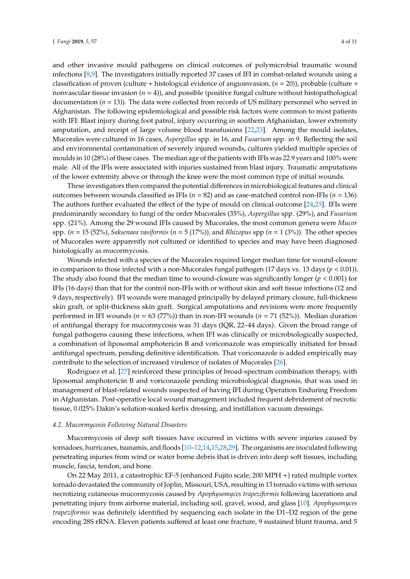and other invasive mould pathogens on clinical outcomes of polymicrobial traumatic wound infections [\[8](#page-8-3)[,9\]](#page-8-6). The investigators initially reported 37 cases of IFI in combat-related wounds using a classification of proven (culture + histological evidence of angioinvasion, (*n* = 20)), probable (culture + nonvascular tissue invasion (*n* = 4)), and possible (positive fungal culture without histopathological documentation  $(n = 13)$ ). The data were collected from records of US military personnel who served in Afghanistan. The following epidemiological and possible risk factors were common to most patients with IFI: Blast injury during foot patrol, injury occurring in southern Afghanistan, lower extremity amputation, and receipt of large volume blood transfusions [\[22](#page-9-1)[,23\]](#page-9-2). Among the mould isolates, Mucorales were cultured in 16 cases, *Aspergillus* spp. in 16, and *Fusarium* spp. in 9. Reflecting the soil and environmental contamination of severely injured wounds, cultures yielded multiple species of moulds in 10 (28%) of these cases. The median age of the patients with IFIs was 22.9 years and 100% were male. All of the IFIs were associated with injuries sustained from blast injury. Traumatic amputations of the lower extremity above or through the knee were the most common type of initial wounds.

These investigators then compared the potential differences in microbiological features and clinical outcomes between wounds classified as IFIs (*n* = 82) and as case-matched control non-IFIs (*n* = 136). The authors further evaluated the effect of the type of mould on clinical outcome [\[24,](#page-9-3)[25\]](#page-9-4). IFIs were predominantly secondary to fungi of the order Mucorales (35%), *Aspergillus* spp. (29%), and *Fusarium* spp. (21%). Among the 29 wound IFIs caused by Mucorales, the most common genera were *Mucor* spp. (*n* = 15 (52%), *Saksenaea vasiformis* (*n* = 5 (17%))*,* and *Rhizopus* spp (*n* = 1 (3%)). The other species of Mucorales were apparently not cultured or identified to species and may have been diagnosed histologically as mucormycosis.

Wounds infected with a species of the Mucorales required longer median time for wound-closure in comparison to those infected with a non-Mucorales fungal pathogen  $(17 \text{ days vs. } 13 \text{ days } (p < 0.01))$ . The study also found that the median time to wound-closure was significantly longer ( $p < 0.001$ ) for IFIs (16 days) than that for the control non-IFIs with or without skin and soft tissue infections (12 and 9 days, respectively). IFI wounds were managed principally by delayed primary closure, full-thickness skin graft, or split-thickness skin graft. Surgical amputations and revisions were more frequently performed in IFI wounds (*n* = 63 (77%)) than in non-IFI wounds (*n* = 71 (52%)). Median duration of antifungal therapy for mucormycosis was 31 days (IQR, 22–44 days). Given the broad range of fungal pathogens causing these infections, when IFI was clinically or microbiologically suspected, a combination of liposomal amphotericin B and voriconazole was empirically initiated for broad antifungal spectrum, pending definitive identification. That voriconazole is added empirically may contribute to the selection of increased virulence of isolates of Mucorales [\[26\]](#page-9-5).

Rodriguez et al. [\[27\]](#page-9-6) reinforced these principles of broad-spectrum combination therapy, with liposomal amphotericin B and voriconazole pending microbiological diagnosis, that was used in management of blast-related wounds suspected of having IFI during Operation Enduring Freedom in Afghanistan. Post-operative local wound management included frequent debridement of necrotic tissue, 0.025% Dakin's solution-soaked kerlix dressing, and instillation vacuum dressings.

#### *4.2. Mucormycosis Following Natural Disasters*

Mucormycosis of deep soft tissues have occurred in victims with severe injuries caused by tornadoes, hurricanes, tsunamis, and floods [\[10](#page-8-7)[–12,](#page-8-4)[14](#page-8-9)[,15](#page-8-10)[,28](#page-9-7)[,29\]](#page-9-8). The organisms are inoculated following penetrating injuries from wind or water borne debris that is driven into deep soft tissues, including muscle, fascia, tendon, and bone.

On 22 May 2011, a catastrophic EF-5 (enhanced Fujito scale; 200 MPH +) rated multiple vortex tornado devastated the community of Joplin, Missouri, USA, resulting in 13 tornado victims with serious necrotizing cutaneous mucormycosis caused by *Apophysomyces trapeziformis* following lacerations and penetrating injury from airborne material, including soil, gravel, wood, and glass [\[10\]](#page-8-7). *Apophysomyces trapeziformis* was definitely identified by sequencing each isolate in the D1–D2 region of the gene encoding 28S rRNA. Eleven patients suffered at least one fracture, 9 sustained blunt trauma, and 5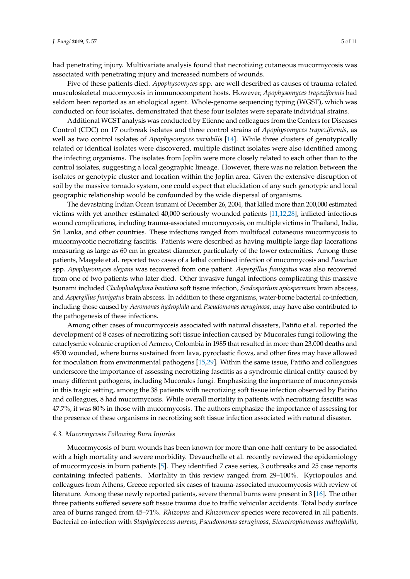had penetrating injury. Multivariate analysis found that necrotizing cutaneous mucormycosis was associated with penetrating injury and increased numbers of wounds.

Five of these patients died. *Apophysomyces* spp. are well described as causes of trauma-related musculoskeletal mucormycosis in immunocompetent hosts. However, *Apophysomyces trapeziformis* had seldom been reported as an etiological agent. Whole-genome sequencing typing (WGST), which was conducted on four isolates, demonstrated that these four isolates were separate individual strains.

Additional WGST analysis was conducted by Etienne and colleagues from the Centers for Diseases Control (CDC) on 17 outbreak isolates and three control strains of *Apophysomyces trapeziformis*, as well as two control isolates of *Apophysomyces variabilis* [\[14\]](#page-8-9). While three clusters of genotypically related or identical isolates were discovered, multiple distinct isolates were also identified among the infecting organisms. The isolates from Joplin were more closely related to each other than to the control isolates, suggesting a local geographic lineage. However, there was no relation between the isolates or genotypic cluster and location within the Joplin area. Given the extensive disruption of soil by the massive tornado system, one could expect that elucidation of any such genotypic and local geographic relationship would be confounded by the wide dispersal of organisms.

The devastating Indian Ocean tsunami of December 26, 2004, that killed more than 200,000 estimated victims with yet another estimated 40,000 seriously wounded patients [\[11](#page-8-8)[,12](#page-8-4)[,28\]](#page-9-7), inflicted infectious wound complications, including trauma-associated mucormycosis, on multiple victims in Thailand, India, Sri Lanka, and other countries. These infections ranged from multifocal cutaneous mucormycosis to mucormycotic necrotizing fasciitis. Patients were described as having multiple large flap lacerations measuring as large as 60 cm in greatest diameter, particularly of the lower extremities. Among these patients, Maegele et al. reported two cases of a lethal combined infection of mucormycosis and *Fusarium* spp. *Apophysomyces elegans* was recovered from one patient. *Aspergillus fumigatus* was also recovered from one of two patients who later died. Other invasive fungal infections complicating this massive tsunami included *Cladophialophora bantiana* soft tissue infection, *Scedosporium apiospermum* brain abscess, and *Aspergillus fumigatus* brain abscess. In addition to these organisms, water-borne bacterial co-infection, including those caused by *Aeromonas hydrophila* and *Pseudomonas aeruginosa*, may have also contributed to the pathogenesis of these infections.

Among other cases of mucormycosis associated with natural disasters, Patiño et al. reported the development of 8 cases of necrotizing soft tissue infection caused by Mucorales fungi following the cataclysmic volcanic eruption of Armero, Colombia in 1985 that resulted in more than 23,000 deaths and 4500 wounded, where burns sustained from lava, pyroclastic flows, and other fires may have allowed for inoculation from environmental pathogens [\[15,](#page-8-10)[29\]](#page-9-8). Within the same issue, Patiño and colleagues underscore the importance of assessing necrotizing fasciitis as a syndromic clinical entity caused by many different pathogens, including Mucorales fungi. Emphasizing the importance of mucormycosis in this tragic setting, among the 38 patients with necrotizing soft tissue infection observed by Patiño and colleagues, 8 had mucormycosis. While overall mortality in patients with necrotizing fasciitis was 47.7%, it was 80% in those with mucormycosis. The authors emphasize the importance of assessing for the presence of these organisms in necrotizing soft tissue infection associated with natural disaster.

#### *4.3. Mucormycosis Following Burn Injuries*

Mucormycosis of burn wounds has been known for more than one-half century to be associated with a high mortality and severe morbidity. Devauchelle et al. recently reviewed the epidemiology of mucormycosis in burn patients [\[5\]](#page-8-16). They identified 7 case series, 3 outbreaks and 25 case reports containing infected patients. Mortality in this review ranged from 29–100%. Kyriopoulos and colleagues from Athens, Greece reported six cases of trauma-associated mucormycosis with review of literature. Among these newly reported patients, severe thermal burns were present in 3 [\[16\]](#page-8-11). The other three patients suffered severe soft tissue trauma due to traffic vehicular accidents. Total body surface area of burns ranged from 45–71%. *Rhizopus* and *Rhizomucor* species were recovered in all patients. Bacterial co-infection with *Staphylococcus aureus*, *Pseudomonas aeruginosa*, *Stenotrophomonas maltophilia*,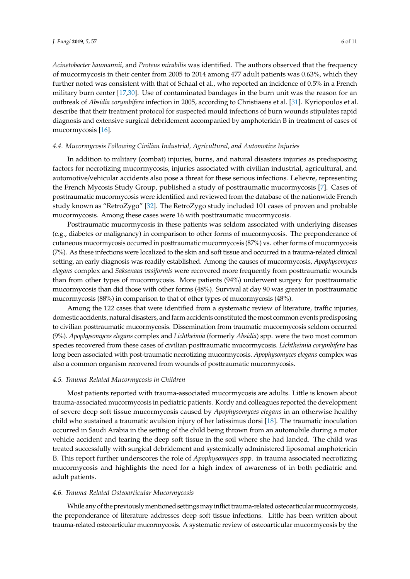*Acinetobacter baumannii*, and *Proteus mirabilis* was identified. The authors observed that the frequency of mucormycosis in their center from 2005 to 2014 among 477 adult patients was 0.63%, which they further noted was consistent with that of Schaal et al., who reported an incidence of 0.5% in a French military burn center [\[17](#page-8-12)[,30\]](#page-9-9). Use of contaminated bandages in the burn unit was the reason for an outbreak of *Absidia corymbifera* infection in 2005, according to Christiaens et al. [\[31\]](#page-9-10). Kyriopoulos et al. describe that their treatment protocol for suspected mould infections of burn wounds stipulates rapid diagnosis and extensive surgical debridement accompanied by amphotericin B in treatment of cases of mucormycosis [\[16\]](#page-8-11).

#### *4.4. Mucormycosis Following Civilian Industrial, Agricultural, and Automotive Injuries*

In addition to military (combat) injuries, burns, and natural disasters injuries as predisposing factors for necrotizing mucormycosis, injuries associated with civilian industrial, agricultural, and automotive/vehicular accidents also pose a threat for these serious infections. Lelievre, representing the French Mycosis Study Group, published a study of posttraumatic mucormycosis [\[7\]](#page-8-1). Cases of posttraumatic mucormycosis were identified and reviewed from the database of the nationwide French study known as "RetroZygo" [\[32\]](#page-9-11). The RetroZygo study included 101 cases of proven and probable mucormycosis. Among these cases were 16 with posttraumatic mucormycosis.

Posttraumatic mucormycosis in these patients was seldom associated with underlying diseases (e.g., diabetes or malignancy) in comparison to other forms of mucormycosis. The preponderance of cutaneous mucormycosis occurred in posttraumatic mucormycosis (87%) vs. other forms of mucormycosis (7%). As these infections were localized to the skin and soft tissue and occurred in a trauma-related clinical setting, an early diagnosis was readily established. Among the causes of mucormycosis, *Apophysomyces elegans* complex and *Saksenaea vasiformis* were recovered more frequently from posttraumatic wounds than from other types of mucormycosis. More patients (94%) underwent surgery for posttraumatic mucormycosis than did those with other forms (48%). Survival at day 90 was greater in posttraumatic mucormycosis (88%) in comparison to that of other types of mucormycosis (48%).

Among the 122 cases that were identified from a systematic review of literature, traffic injuries, domestic accidents, natural disasters, and farm accidents constituted the most common events predisposing to civilian posttraumatic mucormycosis. Dissemination from traumatic mucormycosis seldom occurred (9%). *Apophysomyces elegans* complex and *Lichtheimia* (formerly *Absidia*) spp. were the two most common species recovered from these cases of civilian posttraumatic mucormycosis. *Lichtheimia corymbifera* has long been associated with post-traumatic necrotizing mucormycosis. *Apophysomyces elegans* complex was also a common organism recovered from wounds of posttraumatic mucormycosis.

#### *4.5. Trauma-Related Mucormycosis in Children*

Most patients reported with trauma-associated mucormycosis are adults. Little is known about trauma-associated mucormycosis in pediatric patients. Kordy and colleagues reported the development of severe deep soft tissue mucormycosis caused by *Apophysomyces elegans* in an otherwise healthy child who sustained a traumatic avulsion injury of her latissimus dorsi [\[18\]](#page-8-13). The traumatic inoculation occurred in Saudi Arabia in the setting of the child being thrown from an automobile during a motor vehicle accident and tearing the deep soft tissue in the soil where she had landed. The child was treated successfully with surgical debridement and systemically administered liposomal amphotericin B. This report further underscores the role of *Apophysomyces* spp. in trauma associated necrotizing mucormycosis and highlights the need for a high index of awareness of in both pediatric and adult patients.

#### *4.6. Trauma-Related Osteoarticular Mucormycosis*

While any of the previously mentioned settings may inflict trauma-related osteoarticular mucormycosis, the preponderance of literature addresses deep soft tissue infections. Little has been written about trauma-related osteoarticular mucormycosis. A systematic review of osteoarticular mucormycosis by the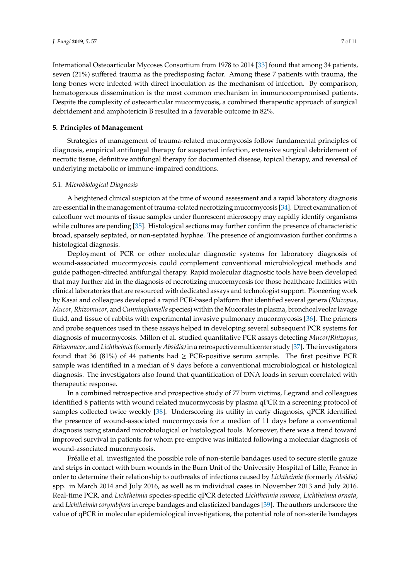International Osteoarticular Mycoses Consortium from 1978 to 2014 [\[33\]](#page-9-12) found that among 34 patients, seven (21%) suffered trauma as the predisposing factor. Among these 7 patients with trauma, the long bones were infected with direct inoculation as the mechanism of infection. By comparison, hematogenous dissemination is the most common mechanism in immunocompromised patients. Despite the complexity of osteoarticular mucormycosis, a combined therapeutic approach of surgical debridement and amphotericin B resulted in a favorable outcome in 82%.

#### **5. Principles of Management**

Strategies of management of trauma-related mucormycosis follow fundamental principles of diagnosis, empirical antifungal therapy for suspected infection, extensive surgical debridement of necrotic tissue, definitive antifungal therapy for documented disease, topical therapy, and reversal of underlying metabolic or immune-impaired conditions.

#### *5.1. Microbiological Diagnosis*

A heightened clinical suspicion at the time of wound assessment and a rapid laboratory diagnosis are essential in the management of trauma-related necrotizing mucormycosis [\[34\]](#page-9-13). Direct examination of calcofluor wet mounts of tissue samples under fluorescent microscopy may rapidly identify organisms while cultures are pending [\[35\]](#page-9-14). Histological sections may further confirm the presence of characteristic broad, sparsely septated, or non-septated hyphae. The presence of angioinvasion further confirms a histological diagnosis.

Deployment of PCR or other molecular diagnostic systems for laboratory diagnosis of wound-associated mucormycosis could complement conventional microbiological methods and guide pathogen-directed antifungal therapy. Rapid molecular diagnostic tools have been developed that may further aid in the diagnosis of necrotizing mucormycosis for those healthcare facilities with clinical laboratories that are resourced with dedicated assays and technologist support. Pioneering work by Kasai and colleagues developed a rapid PCR-based platform that identified several genera (*Rhizopus*, *Mucor*, *Rhizomucor*, and*Cunninghamella* species) within the Mucorales in plasma, bronchoalveolar lavage fluid, and tissue of rabbits with experimental invasive pulmonary mucormycosis [\[36\]](#page-9-15). The primers and probe sequences used in these assays helped in developing several subsequent PCR systems for diagnosis of mucormycosis. Millon et al. studied quantitative PCR assays detecting *Mucor*/*Rhizopus*, *Rhizomucor*, and *Lichtheimia* (formerly *Absidia)*in a retrospective multicenter study [\[37\]](#page-10-0). The investigators found that 36 (81%) of 44 patients had  $\geq$  PCR-positive serum sample. The first positive PCR sample was identified in a median of 9 days before a conventional microbiological or histological diagnosis. The investigators also found that quantification of DNA loads in serum correlated with therapeutic response.

In a combined retrospective and prospective study of 77 burn victims, Legrand and colleagues identified 8 patients with wound related mucormycosis by plasma qPCR in a screening protocol of samples collected twice weekly [\[38\]](#page-10-1). Underscoring its utility in early diagnosis, qPCR identified the presence of wound-associated mucormycosis for a median of 11 days before a conventional diagnosis using standard microbiological or histological tools. Moreover, there was a trend toward improved survival in patients for whom pre-emptive was initiated following a molecular diagnosis of wound-associated mucormycosis.

Fréalle et al. investigated the possible role of non-sterile bandages used to secure sterile gauze and strips in contact with burn wounds in the Burn Unit of the University Hospital of Lille, France in order to determine their relationship to outbreaks of infections caused by *Lichtheimia* (formerly *Absidia)* spp. in March 2014 and July 2016, as well as in individual cases in November 2013 and July 2016. Real-time PCR, and *Lichtheimia* species-specific qPCR detected *Lichtheimia ramosa*, *Lichtheimia ornata*, and *Lichtheimia corymbifera* in crepe bandages and elasticized bandages [\[39\]](#page-10-2). The authors underscore the value of qPCR in molecular epidemiological investigations, the potential role of non-sterile bandages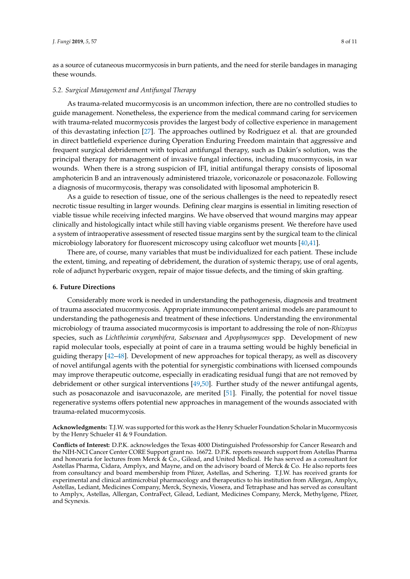as a source of cutaneous mucormycosis in burn patients, and the need for sterile bandages in managing these wounds.

#### *5.2. Surgical Management and Antifungal Therapy*

As trauma-related mucormycosis is an uncommon infection, there are no controlled studies to guide management. Nonetheless, the experience from the medical command caring for servicemen with trauma-related mucormycosis provides the largest body of collective experience in management of this devastating infection [\[27\]](#page-9-6). The approaches outlined by Rodriguez et al. that are grounded in direct battlefield experience during Operation Enduring Freedom maintain that aggressive and frequent surgical debridement with topical antifungal therapy, such as Dakin's solution, was the principal therapy for management of invasive fungal infections, including mucormycosis, in war wounds. When there is a strong suspicion of IFI, initial antifungal therapy consists of liposomal amphotericin B and an intravenously administered triazole, voriconazole or posaconazole. Following a diagnosis of mucormycosis, therapy was consolidated with liposomal amphotericin B.

As a guide to resection of tissue, one of the serious challenges is the need to repeatedly resect necrotic tissue resulting in larger wounds. Defining clear margins is essential in limiting resection of viable tissue while receiving infected margins. We have observed that wound margins may appear clinically and histologically intact while still having viable organisms present. We therefore have used a system of intraoperative assessment of resected tissue margins sent by the surgical team to the clinical microbiology laboratory for fluorescent microscopy using calcofluor wet mounts [\[40](#page-10-3)[,41\]](#page-10-4).

There are, of course, many variables that must be individualized for each patient. These include the extent, timing, and repeating of debridement, the duration of systemic therapy, use of oral agents, role of adjunct hyperbaric oxygen, repair of major tissue defects, and the timing of skin grafting.

#### **6. Future Directions**

Considerably more work is needed in understanding the pathogenesis, diagnosis and treatment of trauma associated mucormycosis. Appropriate immunocompetent animal models are paramount to understanding the pathogenesis and treatment of these infections. Understanding the environmental microbiology of trauma associated mucormycosis is important to addressing the role of non-*Rhizopus* species, such as *Lichtheimia corymbifera, Saksenaea* and *Apophysomyces* spp. Development of new rapid molecular tools, especially at point of care in a trauma setting would be highly beneficial in guiding therapy [\[42–](#page-10-5)[48\]](#page-10-6). Development of new approaches for topical therapy, as well as discovery of novel antifungal agents with the potential for synergistic combinations with licensed compounds may improve therapeutic outcome, especially in eradicating residual fungi that are not removed by debridement or other surgical interventions [\[49,](#page-10-7)[50\]](#page-10-8). Further study of the newer antifungal agents, such as posaconazole and isavuconazole, are merited [\[51\]](#page-10-9). Finally, the potential for novel tissue regenerative systems offers potential new approaches in management of the wounds associated with trauma-related mucormycosis.

**Acknowledgments:** T.J.W. was supported for this work as the Henry Schueler Foundation Scholar in Mucormycosis by the Henry Schueler 41 & 9 Foundation.

**Conflicts of Interest:** D.P.K. acknowledges the Texas 4000 Distinguished Professorship for Cancer Research and the NIH-NCI Cancer Center CORE Support grant no. 16672. D.P.K. reports research support from Astellas Pharma and honoraria for lectures from Merck & Co., Gilead, and United Medical. He has served as a consultant for Astellas Pharma, Cidara, Amplyx, and Mayne, and on the advisory board of Merck & Co. He also reports fees from consultancy and board membership from Pfizer, Astellas, and Schering. T.J.W. has received grants for experimental and clinical antimicrobial pharmacology and therapeutics to his institution from Allergan, Amplyx, Astellas, Lediant, Medicines Company, Merck, Scynexis, Viosera, and Tetraphase and has served as consultant to Amplyx, Astellas, Allergan, ContraFect, Gilead, Lediant, Medicines Company, Merck, Methylgene, Pfizer, and Scynexis.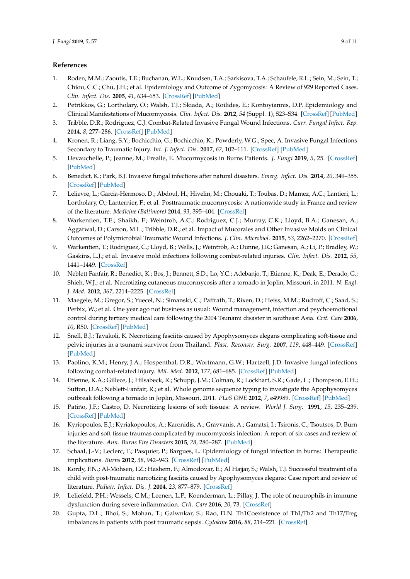## **References**

- <span id="page-8-0"></span>1. Roden, M.M.; Zaoutis, T.E.; Buchanan, W.L.; Knudsen, T.A.; Sarkisova, T.A.; Schaufele, R.L.; Sein, M.; Sein, T.; Chiou, C.C.; Chu, J.H.; et al. Epidemiology and Outcome of Zygomycosis: A Review of 929 Reported Cases. *Clin. Infect. Dis.* **2005**, *41*, 634–653. [\[CrossRef\]](http://dx.doi.org/10.1086/432579) [\[PubMed\]](http://www.ncbi.nlm.nih.gov/pubmed/16080086)
- 2. Petrikkos, G.; Lortholary, O.; Walsh, T.J.; Skiada, A.; Roilides, E.; Kontoyiannis, D.P. Epidemiology and Clinical Manifestations of Mucormycosis. *Clin. Infect. Dis.* **2012**, *54* (Suppl. 1), S23–S34. [\[CrossRef\]](http://dx.doi.org/10.1093/cid/cir866) [\[PubMed\]](http://www.ncbi.nlm.nih.gov/pubmed/22247442)
- 3. Tribble, D.R.; Rodriguez, C.J. Combat-Related Invasive Fungal Wound Infections. *Curr. Fungal Infect. Rep.* **2014**, *8*, 277–286. [\[CrossRef\]](http://dx.doi.org/10.1007/s12281-014-0205-y) [\[PubMed\]](http://www.ncbi.nlm.nih.gov/pubmed/25530825)
- <span id="page-8-2"></span>4. Kronen, R.; Liang, S.Y.; Bochicchio, G.; Bochicchio, K.; Powderly, W.G.; Spec, A. Invasive Fungal Infections Secondary to Traumatic Injury. *Int. J. Infect. Dis.* **2017**, *62*, 102–111. [\[CrossRef\]](http://dx.doi.org/10.1016/j.ijid.2017.07.002) [\[PubMed\]](http://www.ncbi.nlm.nih.gov/pubmed/28705753)
- <span id="page-8-16"></span>5. Devauchelle, P.; Jeanne, M.; Frealle, E. Mucormycosis in Burns Patients. *J. Fungi* **2019**, *5*, 25. [\[CrossRef\]](http://dx.doi.org/10.3390/jof5010025) [\[PubMed\]](http://www.ncbi.nlm.nih.gov/pubmed/30901836)
- 6. Benedict, K.; Park, B.J. Invasive fungal infections after natural disasters. *Emerg. Infect. Dis.* **2014**, *20*, 349–355. [\[CrossRef\]](http://dx.doi.org/10.3201/eid2003.131230) [\[PubMed\]](http://www.ncbi.nlm.nih.gov/pubmed/24565446)
- <span id="page-8-1"></span>7. Lelievre, L.; Garcia-Hermoso, D.; Abdoul, H.; Hivelin, M.; Chouaki, T.; Toubas, D.; Mamez, A.C.; Lantieri, L.; Lortholary, O.; Lanternier, F.; et al. Posttraumatic mucormycosis: A nationwide study in France and review of the literature. *Medicine (Baltimore)* **2014**, *93*, 395–404. [\[CrossRef\]](http://dx.doi.org/10.1097/MD.0000000000000221)
- <span id="page-8-3"></span>8. Warkentien, T.E.; Shaikh, F.; Weintrob, A.C.; Rodriguez, C.J.; Murray, C.K.; Lloyd, B.A.; Ganesan, A.; Aggarwal, D.; Carson, M.L.; Tribble, D.R.; et al. Impact of Mucorales and Other Invasive Molds on Clinical Outcomes of Polymicrobial Traumatic Wound Infections. *J. Clin. Microbiol.* **2015**, *53*, 2262–2270. [\[CrossRef\]](http://dx.doi.org/10.1128/JCM.00835-15)
- <span id="page-8-6"></span>9. Warkentien, T.; Rodriguez, C.; Lloyd, B.; Wells, J.; Weintrob, A.; Dunne, J.R.; Ganesan, A.; Li, P.; Bradley, W.; Gaskins, L.J.; et al. Invasive mold infections following combat-related injuries. *Clin. Infect. Dis.* **2012**, *55*, 1441–1449. [\[CrossRef\]](http://dx.doi.org/10.1093/cid/cis749)
- <span id="page-8-7"></span>10. Neblett Fanfair, R.; Benedict, K.; Bos, J.; Bennett, S.D.; Lo, Y.C.; Adebanjo, T.; Etienne, K.; Deak, E.; Derado, G.; Shieh, W.J.; et al. Necrotizing cutaneous mucormycosis after a tornado in Joplin, Missouri, in 2011. *N. Engl. J. Med.* **2012**, *367*, 2214–2225. [\[CrossRef\]](http://dx.doi.org/10.1056/NEJMoa1204781)
- <span id="page-8-8"></span>11. Maegele, M.; Gregor, S.; Yuecel, N.; Simanski, C.; Paffrath, T.; Rixen, D.; Heiss, M.M.; Rudroff, C.; Saad, S.; Perbix, W.; et al. One year ago not business as usual: Wound management, infection and psychoemotional control during tertiary medical care following the 2004 Tsunami disaster in southeast Asia. *Crit. Care* **2006**, *10*, R50. [\[CrossRef\]](http://dx.doi.org/10.1186/cc4868) [\[PubMed\]](http://www.ncbi.nlm.nih.gov/pubmed/16584527)
- <span id="page-8-4"></span>12. Snell, B.J.; Tavakoli, K. Necrotizing fasciitis caused by Apophysomyces elegans complicating soft-tissue and pelvic injuries in a tsunami survivor from Thailand. *Plast. Reconstr. Surg.* **2007**, *119*, 448–449. [\[CrossRef\]](http://dx.doi.org/10.1097/01.prs.0000233624.34950.f8) [\[PubMed\]](http://www.ncbi.nlm.nih.gov/pubmed/17255729)
- <span id="page-8-5"></span>13. Paolino, K.M.; Henry, J.A.; Hospenthal, D.R.; Wortmann, G.W.; Hartzell, J.D. Invasive fungal infections following combat-related injury. *Mil. Med.* **2012**, *177*, 681–685. [\[CrossRef\]](http://dx.doi.org/10.7205/MILMED-D-11-00364) [\[PubMed\]](http://www.ncbi.nlm.nih.gov/pubmed/22730844)
- <span id="page-8-9"></span>14. Etienne, K.A.; Gillece, J.; Hilsabeck, R.; Schupp, J.M.; Colman, R.; Lockhart, S.R.; Gade, L.; Thompson, E.H.; Sutton, D.A.; Neblett-Fanfair, R.; et al. Whole genome sequence typing to investigate the Apophysomyces outbreak following a tornado in Joplin, Missouri, 2011. *PLoS ONE* **2012**, *7*, e49989. [\[CrossRef\]](http://dx.doi.org/10.1371/journal.pone.0049989) [\[PubMed\]](http://www.ncbi.nlm.nih.gov/pubmed/23209631)
- <span id="page-8-10"></span>15. Patiño, J.F.; Castro, D. Necrotizing lesions of soft tissues: A review. *World J. Surg.* **1991**, *15*, 235–239. [\[CrossRef\]](http://dx.doi.org/10.1007/BF01659058) [\[PubMed\]](http://www.ncbi.nlm.nih.gov/pubmed/2031360)
- <span id="page-8-11"></span>16. Kyriopoulos, E.J.; Kyriakopoulos, A.; Karonidis, A.; Gravvanis, A.; Gamatsi, I.; Tsironis, C.; Tsoutsos, D. Burn injuries and soft tissue traumas complicated by mucormycosis infection: A report of six cases and review of the literature. *Ann. Burns Fire Disasters* **2015**, *28*, 280–287. [\[PubMed\]](http://www.ncbi.nlm.nih.gov/pubmed/27777549)
- <span id="page-8-12"></span>17. Schaal, J.-V.; Leclerc, T.; Pasquier, P.; Bargues, L. Epidemiology of fungal infection in burns: Therapeutic implications. *Burns* **2012**, *38*, 942–943. [\[CrossRef\]](http://dx.doi.org/10.1016/j.burns.2012.02.028) [\[PubMed\]](http://www.ncbi.nlm.nih.gov/pubmed/22494950)
- <span id="page-8-13"></span>18. Kordy, F.N.; Al-Mohsen, I.Z.; Hashem, F.; Almodovar, E.; Al Hajjar, S.; Walsh, T.J. Successful treatment of a child with post-traumatic narcotizing fasciitis caused by Apophysomyces elegans: Case report and review of literature. *Pediatr. Infect. Dis. J.* **2004**, *23*, 877–879. [\[CrossRef\]](http://dx.doi.org/10.1097/01.inf.0000136870.17071.fd)
- <span id="page-8-14"></span>19. Leliefeld, P.H.; Wessels, C.M.; Leenen, L.P.; Koenderman, L.; Pillay, J. The role of neutrophils in immune dysfunction during severe inflammation. *Crit. Care* **2016**, *20*, 73. [\[CrossRef\]](http://dx.doi.org/10.1186/s13054-016-1250-4)
- <span id="page-8-15"></span>20. Gupta, D.L.; Bhoi, S.; Mohan, T.; Galwnkar, S.; Rao, D.N. Th1Coexistence of Th1/Th2 and Th17/Treg imbalances in patients with post traumatic sepsis. *Cytokine* **2016**, *88*, 214–221. [\[CrossRef\]](http://dx.doi.org/10.1016/j.cyto.2016.09.010)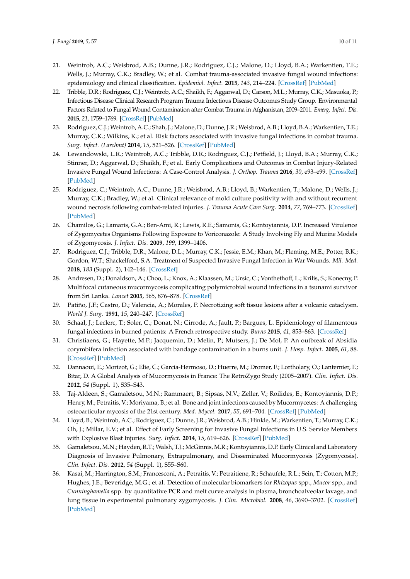- <span id="page-9-0"></span>21. Weintrob, A.C.; Weisbrod, A.B.; Dunne, J.R.; Rodriguez, C.J.; Malone, D.; Lloyd, B.A.; Warkentien, T.E.; Wells, J.; Murray, C.K.; Bradley, W.; et al. Combat trauma-associated invasive fungal wound infections: epidemiology and clinical classification. *Epidemiol. Infect.* **2015**, *143*, 214–224. [\[CrossRef\]](http://dx.doi.org/10.1017/S095026881400051X) [\[PubMed\]](http://www.ncbi.nlm.nih.gov/pubmed/24642013)
- <span id="page-9-1"></span>22. Tribble, D.R.; Rodriguez, C.J.; Weintrob, A.C.; Shaikh, F.; Aggarwal, D.; Carson, M.L.; Murray, C.K.; Masuoka, P.; Infectious Disease Clinical Research Program Trauma Infectious Disease Outcomes Study Group. Environmental Factors Related to Fungal Wound Contamination after Combat Trauma in Afghanistan, 2009–2011. *Emerg. Infect. Dis.* **2015**, *21*, 1759–1769. [\[CrossRef\]](http://dx.doi.org/10.3201/eid2110.141759) [\[PubMed\]](http://www.ncbi.nlm.nih.gov/pubmed/26401897)
- <span id="page-9-2"></span>23. Rodriguez, C.J.; Weintrob, A.C.; Shah, J.; Malone, D.; Dunne, J.R.; Weisbrod, A.B.; Lloyd, B.A.; Warkentien, T.E.; Murray, C.K.; Wilkins, K.; et al. Risk factors associated with invasive fungal infections in combat trauma. *Surg. Infect. (Larchmt)* **2014**, *15*, 521–526. [\[CrossRef\]](http://dx.doi.org/10.1089/sur.2013.123) [\[PubMed\]](http://www.ncbi.nlm.nih.gov/pubmed/24821267)
- <span id="page-9-3"></span>24. Lewandowski, L.R.; Weintrob, A.C.; Tribble, D.R.; Rodriguez, C.J.; Petfield, J.; Lloyd, B.A.; Murray, C.K.; Stinner, D.; Aggarwal, D.; Shaikh, F.; et al. Early Complications and Outcomes in Combat Injury-Related Invasive Fungal Wound Infections: A Case-Control Analysis. *J. Orthop. Trauma* **2016**, *30*, e93–e99. [\[CrossRef\]](http://dx.doi.org/10.1097/BOT.0000000000000447) [\[PubMed\]](http://www.ncbi.nlm.nih.gov/pubmed/26360542)
- <span id="page-9-4"></span>25. Rodriguez, C.; Weintrob, A.C.; Dunne, J.R.; Weisbrod, A.B.; Lloyd, B.; Warkentien, T.; Malone, D.; Wells, J.; Murray, C.K.; Bradley, W.; et al. Clinical relevance of mold culture positivity with and without recurrent wound necrosis following combat-related injuries. *J. Trauma Acute Care Surg.* **2014**, *77*, 769–773. [\[CrossRef\]](http://dx.doi.org/10.1097/TA.0000000000000438) [\[PubMed\]](http://www.ncbi.nlm.nih.gov/pubmed/25494431)
- <span id="page-9-5"></span>26. Chamilos, G.; Lamaris, G.A.; Ben-Ami, R.; Lewis, R.E.; Samonis, G.; Kontoyiannis, D.P. Increased Virulence of Zygomycetes Organisms Following Exposure to Voriconazole: A Study Involving Fly and Murine Models of Zygomycosis. *J. Infect. Dis.* **2009**, *199*, 1399–1406.
- <span id="page-9-6"></span>27. Rodriguez, C.J.; Tribble, D.R.; Malone, D.L.; Murray, C.K.; Jessie, E.M.; Khan, M.; Fleming, M.E.; Potter, B.K.; Gordon, W.T.; Shackelford, S.A. Treatment of Suspected Invasive Fungal Infection in War Wounds. *Mil. Med.* **2018**, *183* (Suppl. 2), 142–146. [\[CrossRef\]](http://dx.doi.org/10.1093/milmed/usy079)
- <span id="page-9-7"></span>28. Andresen, D.; Donaldson, A.; Choo, L.; Knox, A.; Klaassen, M.; Ursic, C.; Vonthethoff, L.; Krilis, S.; Konecny, P. Multifocal cutaneous mucormycosis complicating polymicrobial wound infections in a tsunami survivor from Sri Lanka. *Lancet* **2005**, *365*, 876–878. [\[CrossRef\]](http://dx.doi.org/10.1016/S0140-6736(05)71046-1)
- <span id="page-9-8"></span>29. Patiño, J.F.; Castro, D.; Valencia, A.; Morales, P. Necrotizing soft tissue lesions after a volcanic cataclysm. *World J. Surg.* **1991**, *15*, 240–247. [\[CrossRef\]](http://dx.doi.org/10.1007/BF01659059)
- <span id="page-9-9"></span>30. Schaal, J.; Leclerc, T.; Soler, C.; Donat, N.; Cirrode, A.; Jault, P.; Bargues, L. Epidemiology of filamentous fungal infections in burned patients: A French retrospective study. *Burns* **2015**, *41*, 853–863. [\[CrossRef\]](http://dx.doi.org/10.1016/j.burns.2014.10.024)
- <span id="page-9-10"></span>31. Christiaens, G.; Hayette, M.P.; Jacquemin, D.; Melin, P.; Mutsers, J.; De Mol, P. An outbreak of Absidia corymbifera infection associated with bandage contamination in a burns unit. *J. Hosp. Infect.* **2005**, *61*, 88. [\[CrossRef\]](http://dx.doi.org/10.1016/j.jhin.2004.12.011) [\[PubMed\]](http://www.ncbi.nlm.nih.gov/pubmed/16054948)
- <span id="page-9-11"></span>32. Dannaoui, E.; Morizot, G.; Elie, C.; Garcia-Hermoso, D.; Huerre, M.; Dromer, F.; Lortholary, O.; Lanternier, F.; Bitar, D. A Global Analysis of Mucormycosis in France: The RetroZygo Study (2005–2007). *Clin. Infect. Dis.* **2012**, *54* (Suppl. 1), S35–S43.
- <span id="page-9-12"></span>33. Taj-Aldeen, S.; Gamaletsou, M.N.; Rammaert, B.; Sipsas, N.V.; Zeller, V.; Roilides, E.; Kontoyiannis, D.P.; Henry, M.; Petraitis, V.; Moriyama, B.; et al. Bone and joint infections caused by Mucormycetes: A challenging osteoarticular mycosis of the 21st century. *Med. Mycol.* **2017**, *55*, 691–704. [\[CrossRef\]](http://dx.doi.org/10.1093/mmy/myw136) [\[PubMed\]](http://www.ncbi.nlm.nih.gov/pubmed/28053147)
- <span id="page-9-13"></span>34. Lloyd, B.; Weintrob, A.C.; Rodriguez, C.; Dunne, J.R.; Weisbrod, A.B.; Hinkle, M.; Warkentien, T.; Murray, C.K.; Oh, J.; Millar, E.V.; et al. Effect of Early Screening for Invasive Fungal Infections in U.S. Service Members with Explosive Blast Injuries. *Surg. Infect.* **2014**, *15*, 619–626. [\[CrossRef\]](http://dx.doi.org/10.1089/sur.2012.245) [\[PubMed\]](http://www.ncbi.nlm.nih.gov/pubmed/24823926)
- <span id="page-9-14"></span>35. Gamaletsou, M.N.; Hayden, R.T.; Walsh, T.J.; McGinnis, M.R.; Kontoyiannis, D.P. Early Clinical and Laboratory Diagnosis of Invasive Pulmonary, Extrapulmonary, and Disseminated Mucormycosis (Zygomycosis). *Clin. Infect. Dis.* **2012**, *54* (Suppl. 1), S55–S60.
- <span id="page-9-15"></span>36. Kasai, M.; Harrington, S.M.; Francesconi, A.; Petraitis, V.; Petraitiene, R.; Schaufele, R.L.; Sein, T.; Cotton, M.P.; Hughes, J.E.; Beveridge, M.G.; et al. Detection of molecular biomarkers for *Rhizopus* spp., *Mucor* spp., and *Cunninghamella* spp. by quantitative PCR and melt curve analysis in plasma, bronchoalveolar lavage, and lung tissue in experimental pulmonary zygomycosis. *J. Clin. Microbiol.* **2008**, *46*, 3690–3702. [\[CrossRef\]](http://dx.doi.org/10.1128/JCM.00917-08) [\[PubMed\]](http://www.ncbi.nlm.nih.gov/pubmed/18845827)